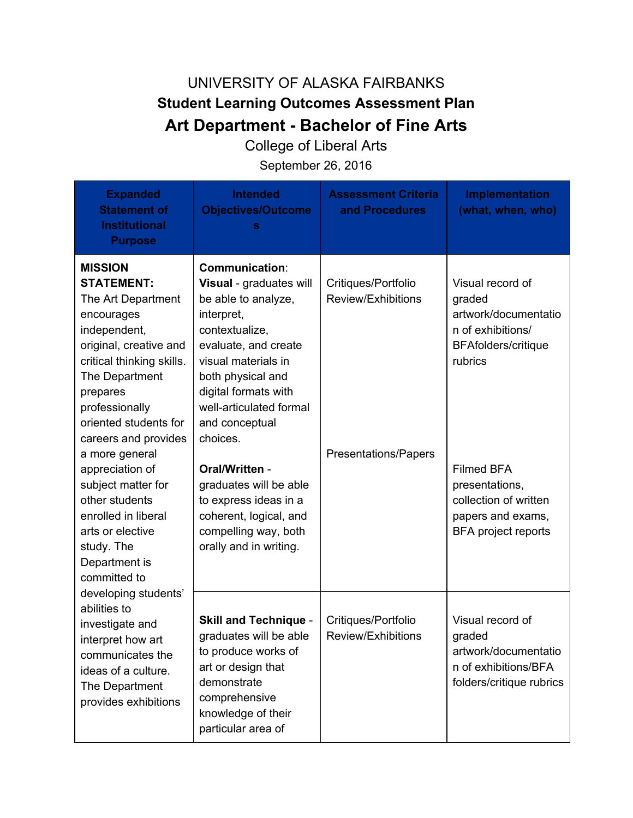## UNIVERSITY OF ALASKA FAIRBANKS **Student Learning Outcomes Assessment Plan Art Department - Bachelor of Fine Arts**

College of Liberal Arts

September 26, 2016

| <b>Expanded</b><br><b>Statement of</b><br><b>Institutional</b><br><b>Purpose</b>                                                                                                                                                                                                                                                                                                                                                                                                                                                                                                            | <b>Intended</b><br><b>Objectives/Outcome</b><br>s                                                                                                                                                                                                                                                                                                                                                             | <b>Assessment Criteria</b><br>and Procedures                             | Implementation<br>(what, when, who)                                                                                                                                                                                                 |
|---------------------------------------------------------------------------------------------------------------------------------------------------------------------------------------------------------------------------------------------------------------------------------------------------------------------------------------------------------------------------------------------------------------------------------------------------------------------------------------------------------------------------------------------------------------------------------------------|---------------------------------------------------------------------------------------------------------------------------------------------------------------------------------------------------------------------------------------------------------------------------------------------------------------------------------------------------------------------------------------------------------------|--------------------------------------------------------------------------|-------------------------------------------------------------------------------------------------------------------------------------------------------------------------------------------------------------------------------------|
| <b>MISSION</b><br><b>STATEMENT:</b><br>The Art Department<br>encourages<br>independent,<br>original, creative and<br>critical thinking skills.<br>The Department<br>prepares<br>professionally<br>oriented students for<br>careers and provides<br>a more general<br>appreciation of<br>subject matter for<br>other students<br>enrolled in liberal<br>arts or elective<br>study. The<br>Department is<br>committed to<br>developing students'<br>abilities to<br>investigate and<br>interpret how art<br>communicates the<br>ideas of a culture.<br>The Department<br>provides exhibitions | <b>Communication:</b><br>Visual - graduates will<br>be able to analyze,<br>interpret,<br>contextualize,<br>evaluate, and create<br>visual materials in<br>both physical and<br>digital formats with<br>well-articulated formal<br>and conceptual<br>choices.<br>Oral/Written -<br>graduates will be able<br>to express ideas in a<br>coherent, logical, and<br>compelling way, both<br>orally and in writing. | Critiques/Portfolio<br>Review/Exhibitions<br><b>Presentations/Papers</b> | Visual record of<br>graded<br>artwork/documentatio<br>n of exhibitions/<br><b>BFAfolders/critique</b><br>rubrics<br><b>Filmed BFA</b><br>presentations,<br>collection of written<br>papers and exams,<br><b>BFA project reports</b> |
|                                                                                                                                                                                                                                                                                                                                                                                                                                                                                                                                                                                             | <b>Skill and Technique -</b><br>graduates will be able<br>to produce works of<br>art or design that<br>demonstrate<br>comprehensive<br>knowledge of their<br>particular area of                                                                                                                                                                                                                               | Critiques/Portfolio<br>Review/Exhibitions                                | Visual record of<br>graded<br>artwork/documentatio<br>n of exhibitions/BFA<br>folders/critique rubrics                                                                                                                              |